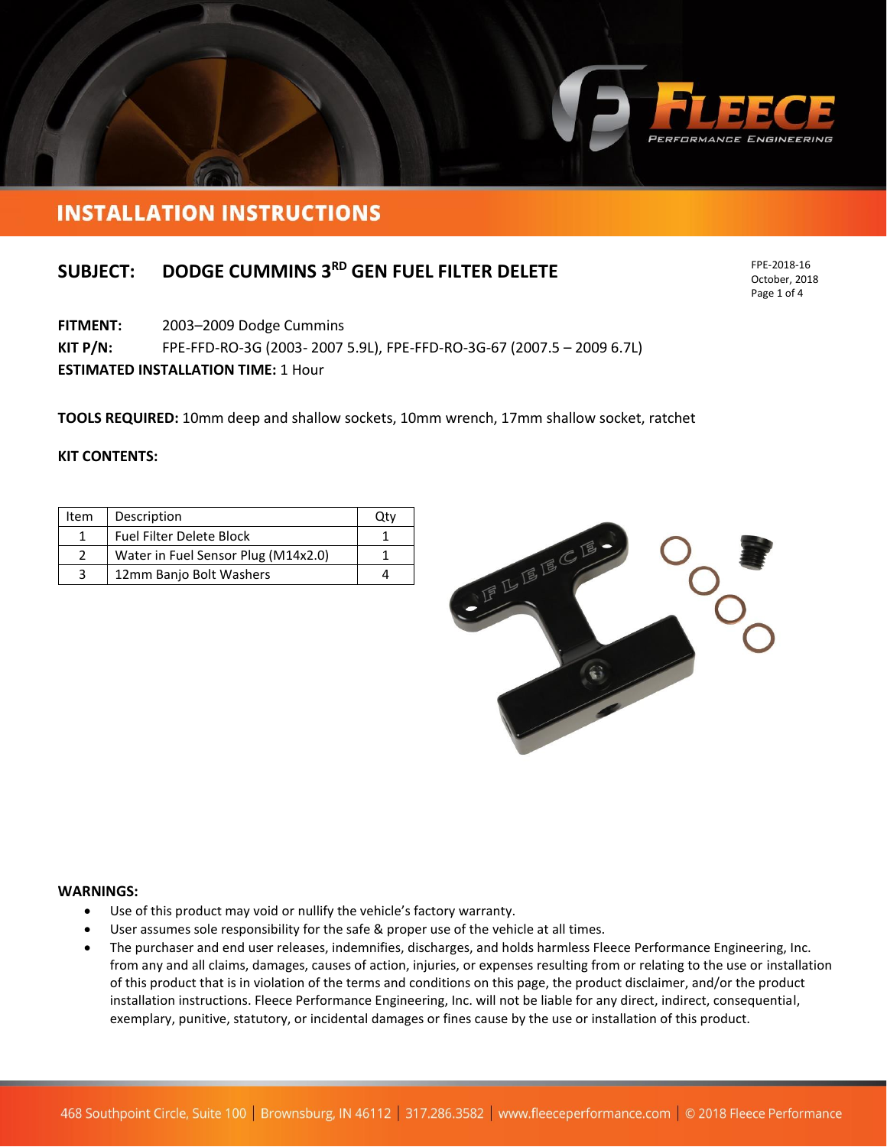

# **INSTALLATION INSTRUCTIONS**

## **SUBJECT: DODGE CUMMINS 3 RD GEN FUEL FILTER DELETE**

**FITMENT:** 2003–2009 Dodge Cummins

**KIT P/N:** FPE-FFD-RO-3G (2003- 2007 5.9L), FPE-FFD-RO-3G-67 (2007.5 – 2009 6.7L)

**ESTIMATED INSTALLATION TIME:** 1 Hour

**TOOLS REQUIRED:** 10mm deep and shallow sockets, 10mm wrench, 17mm shallow socket, ratchet

#### **KIT CONTENTS:**

| Item | Description                         |  |
|------|-------------------------------------|--|
|      | <b>Fuel Filter Delete Block</b>     |  |
|      | Water in Fuel Sensor Plug (M14x2.0) |  |
| -3   | 12mm Banjo Bolt Washers             |  |



#### **WARNINGS:**

- Use of this product may void or nullify the vehicle's factory warranty.
- User assumes sole responsibility for the safe & proper use of the vehicle at all times.
- The purchaser and end user releases, indemnifies, discharges, and holds harmless Fleece Performance Engineering, Inc. from any and all claims, damages, causes of action, injuries, or expenses resulting from or relating to the use or installation of this product that is in violation of the terms and conditions on this page, the product disclaimer, and/or the product installation instructions. Fleece Performance Engineering, Inc. will not be liable for any direct, indirect, consequential, exemplary, punitive, statutory, or incidental damages or fines cause by the use or installation of this product.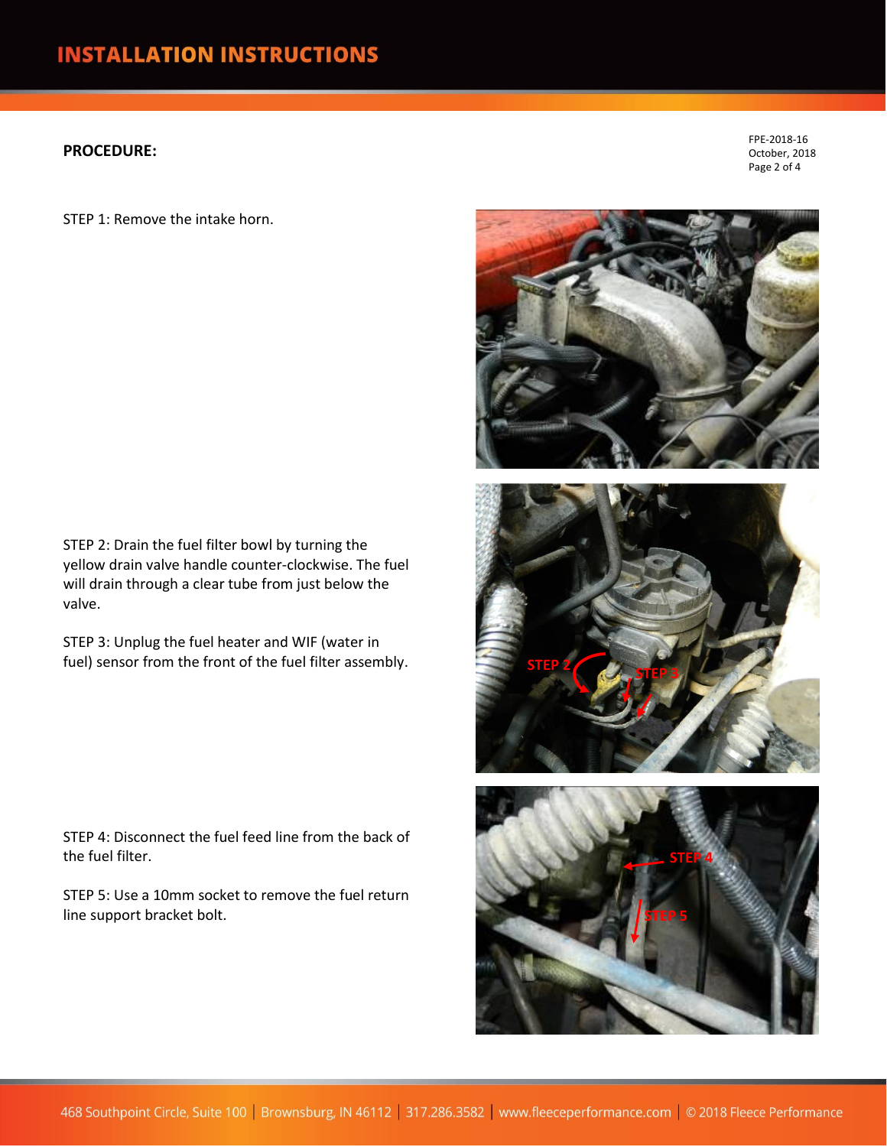### **PROCEDURE:**

STEP 1: Remove the intake horn.

STEP 2: Drain the fuel filter bowl by turning the yellow drain valve handle counter-clockwise. The fuel will drain through a clear tube from just below the valve.

STEP 3: Unplug the fuel heater and WIF (water in fuel) sensor from the front of the fuel filter assembly.

STEP 4: Disconnect the fuel feed line from the back of the fuel filter.

STEP 5: Use a 10mm socket to remove the fuel return line support bracket bolt.



FPE-2018-16 October, 2018 Page 2 of 4



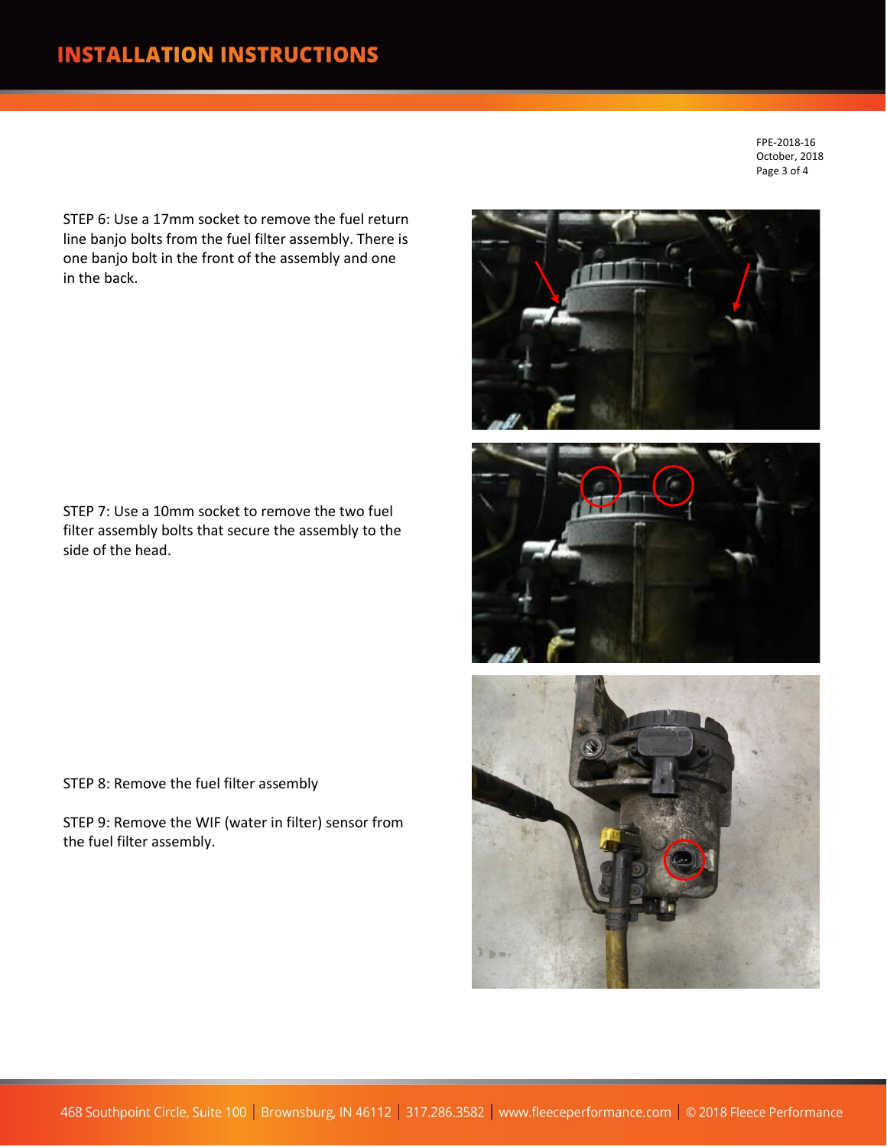FPE-2018-16 October, 2018 Page 3 of 4

STEP 6: Use a 17mm socket to remove the fuel return line banjo bolts from the fuel filter assembly. There is one banjo bolt in the front of the assembly and one in the back.

STEP 7: Use a 10mm socket to remove the two fuel filter assembly bolts that secure the assembly to the side of the head.

STEP 8: Remove the fuel filter assembly

STEP 9: Remove the WIF (water in filter) sensor from the fuel filter assembly.